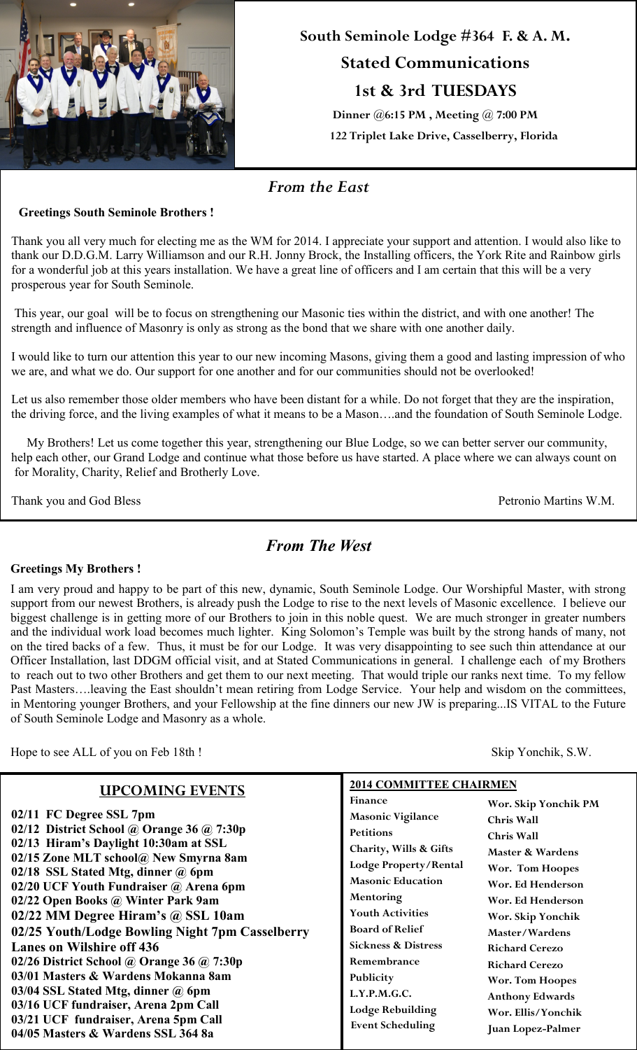

**South Seminole Lodge #364 F. & A. M.**

# **Stated Communications 1st & 3rd TUESDAYS**

**Dinner @6:15 PM , Meeting @ 7:00 PM 122 Triplet Lake Drive, Casselberry, Florida**

### *From the East*

#### **Greetings South Seminole Brothers !**

Thank you all very much for electing me as the WM for 2014. I appreciate your support and attention. I would also like to thank our D.D.G.M. Larry Williamson and our R.H. Jonny Brock, the Installing officers, the York Rite and Rainbow girls for a wonderful job at this years installation. We have a great line of officers and I am certain that this will be a very prosperous year for South Seminole.

This year, our goal will be to focus on strengthening our Masonic ties within the district, and with one another! The strength and influence of Masonry is only as strong as the bond that we share with one another daily.

I would like to turn our attention this year to our new incoming Masons, giving them a good and lasting impression of who we are, and what we do. Our support for one another and for our communities should not be overlooked!

Let us also remember those older members who have been distant for a while. Do not forget that they are the inspiration, the driving force, and the living examples of what it means to be a Mason….and the foundation of South Seminole Lodge.

My Brothers! Let us come together this year, strengthening our Blue Lodge, so we can better server our community, help each other, our Grand Lodge and continue what those before us have started. A place where we can always count on for Morality, Charity, Relief and Brotherly Love.

Thank you and God Bless Petronio Martins W.M.

## *From The West*

#### **Greetings My Brothers !**

I am very proud and happy to be part of this new, dynamic, South Seminole Lodge. Our Worshipful Master, with strong support from our newest Brothers, is already push the Lodge to rise to the next levels of Masonic excellence. I believe our biggest challenge is in getting more of our Brothers to join in this noble quest. We are much stronger in greater numbers and the individual work load becomes much lighter. King Solomon's Temple was built by the strong hands of many, not on the tired backs of a few. Thus, it must be for our Lodge. It was very disappointing to see such thin attendance at our Officer Installation, last DDGM official visit, and at Stated Communications in general. I challenge each of my Brothers to reach out to two other Brothers and get them to our next meeting. That would triple our ranks next time. To my fellow Past Masters….leaving the East shouldn't mean retiring from Lodge Service. Your help and wisdom on the committees, in Mentoring younger Brothers, and your Fellowship at the fine dinners our new JW is preparing...IS VITAL to the Future of South Seminole Lodge and Masonry as a whole.

Hope to see ALL of you on Feb 18th ! Skip Yonchik, S.W.

| <b>UPCOMING EVENTS</b>                                                                                                      | <b>2014 COMMITTEE CHAIRMEN</b>                                     |                                                                   |
|-----------------------------------------------------------------------------------------------------------------------------|--------------------------------------------------------------------|-------------------------------------------------------------------|
| 02/11 FC Degree SSL 7pm<br>02/12 District School @ Orange 36 @ 7:30p                                                        | Finance<br><b>Masonic Vigilance</b><br><b>Petitions</b>            | Wor. Skip Yonchik PM<br><b>Chris Wall</b>                         |
| 02/13 Hiram's Daylight 10:30am at SSL<br>02/15 Zone MLT school@ New Smyrna 8am<br>02/18 SSL Stated Mtg, dinner @ 6pm        | Charity, Wills & Gifts<br>Lodge Property/Rental                    | <b>Chris Wall</b><br>Master & Wardens<br>Wor. Tom Hoopes          |
| 02/20 UCF Youth Fundraiser @ Arena 6pm<br>02/22 Open Books @ Winter Park 9am                                                | <b>Masonic Education</b><br>Mentoring<br><b>Youth Activities</b>   | Wor. Ed Henderson<br>Wor. Ed Henderson                            |
| $02/22$ MM Degree Hiram's @ SSL 10am<br>02/25 Youth/Lodge Bowling Night 7pm Casselberry<br><b>Lanes on Wilshire off 436</b> | <b>Board of Relief</b><br><b>Sickness &amp; Distress</b>           | Wor. Skip Yonchik<br>Master/Wardens<br><b>Richard Cerezo</b>      |
| 02/26 District School @ Orange 36 @ 7:30p<br>03/01 Masters & Wardens Mokanna 8am<br>03/04 SSL Stated Mtg, dinner @ 6pm      | Remembrance<br>Publicity                                           | <b>Richard Cerezo</b><br><b>Wor. Tom Hoopes</b>                   |
| 03/16 UCF fundraiser, Arena 2pm Call<br>03/21 UCF fundraiser, Arena 5pm Call<br>04/05 Masters & Wardens SSL 364 8a          | L.Y.P.M.G.C.<br><b>Lodge Rebuilding</b><br><b>Event Scheduling</b> | <b>Anthony Edwards</b><br>Wor. Ellis/Yonchik<br>Juan Lopez-Palmer |